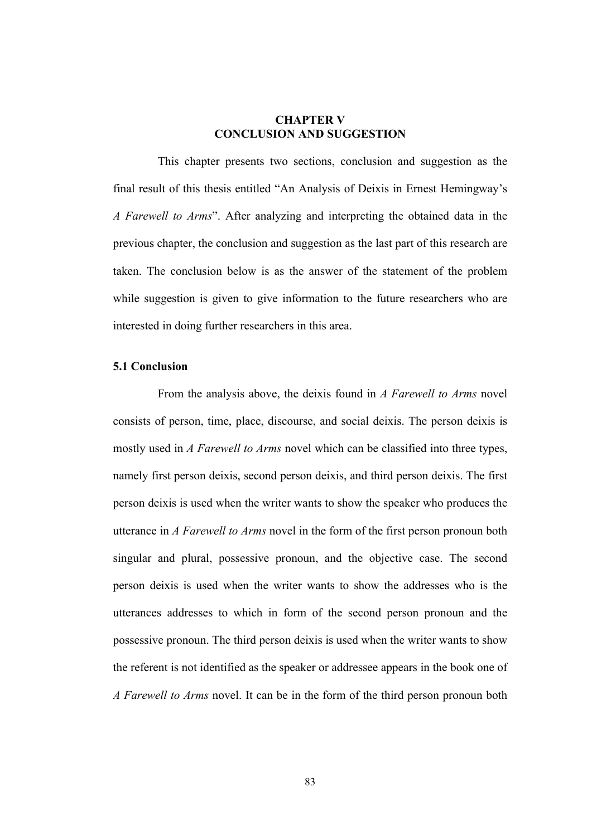## **CHAPTER V CONCLUSION AND SUGGESTION**

This chapter presents two sections, conclusion and suggestion as the final result of this thesis entitled "An Analysis of Deixis in Ernest Hemingway's *A Farewell to Arms*". After analyzing and interpreting the obtained data in the previous chapter, the conclusion and suggestion as the last part of this research are taken. The conclusion below is as the answer of the statement of the problem while suggestion is given to give information to the future researchers who are interested in doing further researchers in this area.

## **5.1 Conclusion**

From the analysis above, the deixis found in *A Farewell to Arms* novel consists of person, time, place, discourse, and social deixis. The person deixis is mostly used in *A Farewell to Arms* novel which can be classified into three types, namely first person deixis, second person deixis, and third person deixis. The first person deixis is used when the writer wants to show the speaker who produces the utterance in *A Farewell to Arms* novel in the form of the first person pronoun both singular and plural, possessive pronoun, and the objective case. The second person deixis is used when the writer wants to show the addresses who is the utterances addresses to which in form of the second person pronoun and the possessive pronoun. The third person deixis is used when the writer wants to show the referent is not identified as the speaker or addressee appears in the book one of *A Farewell to Arms* novel. It can be in the form of the third person pronoun both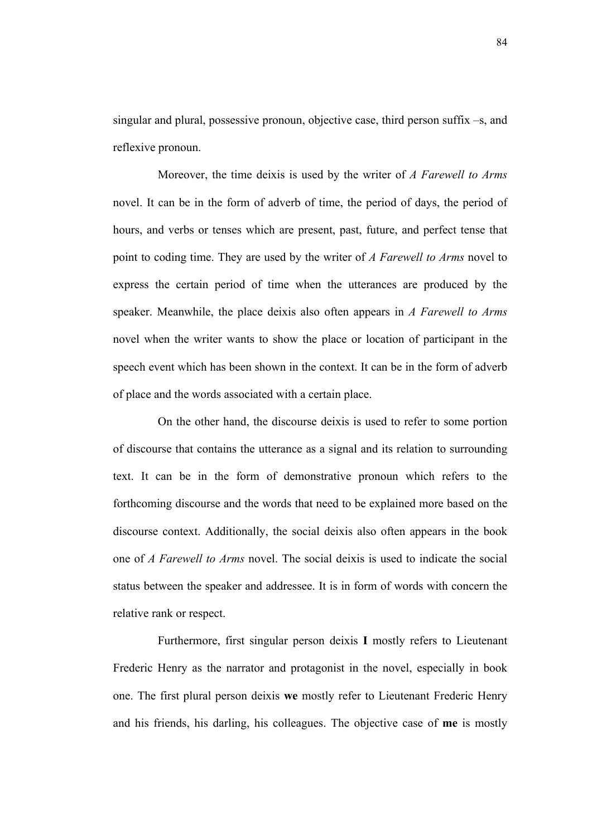singular and plural, possessive pronoun, objective case, third person suffix –s, and reflexive pronoun.

Moreover, the time deixis is used by the writer of *A Farewell to Arms* novel. It can be in the form of adverb of time, the period of days, the period of hours, and verbs or tenses which are present, past, future, and perfect tense that point to coding time. They are used by the writer of *A Farewell to Arms* novel to express the certain period of time when the utterances are produced by the speaker. Meanwhile, the place deixis also often appears in *A Farewell to Arms* novel when the writer wants to show the place or location of participant in the speech event which has been shown in the context. It can be in the form of adverb of place and the words associated with a certain place.

On the other hand, the discourse deixis is used to refer to some portion of discourse that contains the utterance as a signal and its relation to surrounding text. It can be in the form of demonstrative pronoun which refers to the forthcoming discourse and the words that need to be explained more based on the discourse context. Additionally, the social deixis also often appears in the book one of *A Farewell to Arms* novel. The social deixis is used to indicate the social status between the speaker and addressee. It is in form of words with concern the relative rank or respect.

Furthermore, first singular person deixis **I** mostly refers to Lieutenant Frederic Henry as the narrator and protagonist in the novel, especially in book one. The first plural person deixis **we** mostly refer to Lieutenant Frederic Henry and his friends, his darling, his colleagues. The objective case of **me** is mostly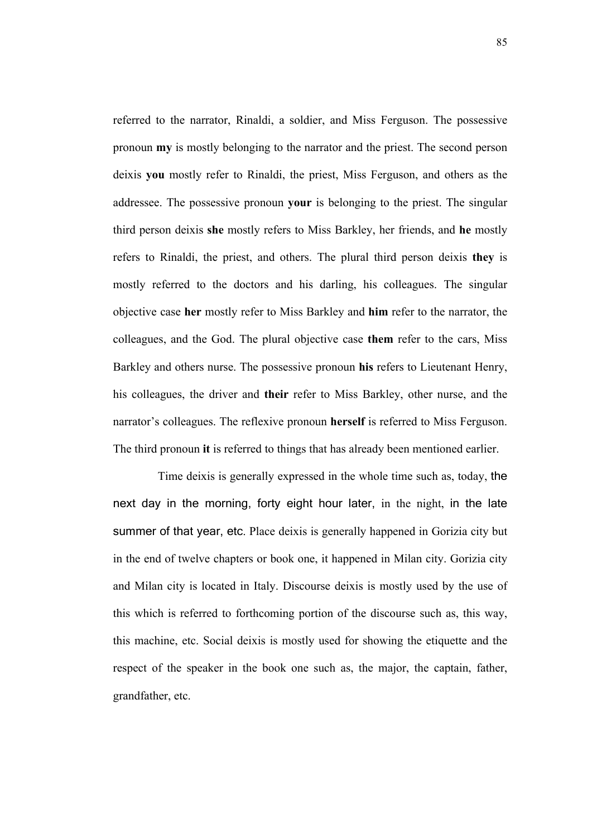referred to the narrator, Rinaldi, a soldier, and Miss Ferguson. The possessive pronoun **my** is mostly belonging to the narrator and the priest. The second person deixis **you** mostly refer to Rinaldi, the priest, Miss Ferguson, and others as the addressee. The possessive pronoun **your** is belonging to the priest. The singular third person deixis **she** mostly refers to Miss Barkley, her friends, and **he** mostly refers to Rinaldi, the priest, and others. The plural third person deixis **they** is mostly referred to the doctors and his darling, his colleagues. The singular objective case **her** mostly refer to Miss Barkley and **him** refer to the narrator, the colleagues, and the God. The plural objective case **them** refer to the cars, Miss Barkley and others nurse. The possessive pronoun **his** refers to Lieutenant Henry, his colleagues, the driver and **their** refer to Miss Barkley, other nurse, and the narrator's colleagues. The reflexive pronoun **herself** is referred to Miss Ferguson. The third pronoun **it** is referred to things that has already been mentioned earlier.

Time deixis is generally expressed in the whole time such as, today, the next day in the morning, forty eight hour later, in the night, in the late summer of that year, etc. Place deixis is generally happened in Gorizia city but in the end of twelve chapters or book one, it happened in Milan city. Gorizia city and Milan city is located in Italy. Discourse deixis is mostly used by the use of this which is referred to forthcoming portion of the discourse such as, this way, this machine, etc. Social deixis is mostly used for showing the etiquette and the respect of the speaker in the book one such as, the major, the captain, father, grandfather, etc.